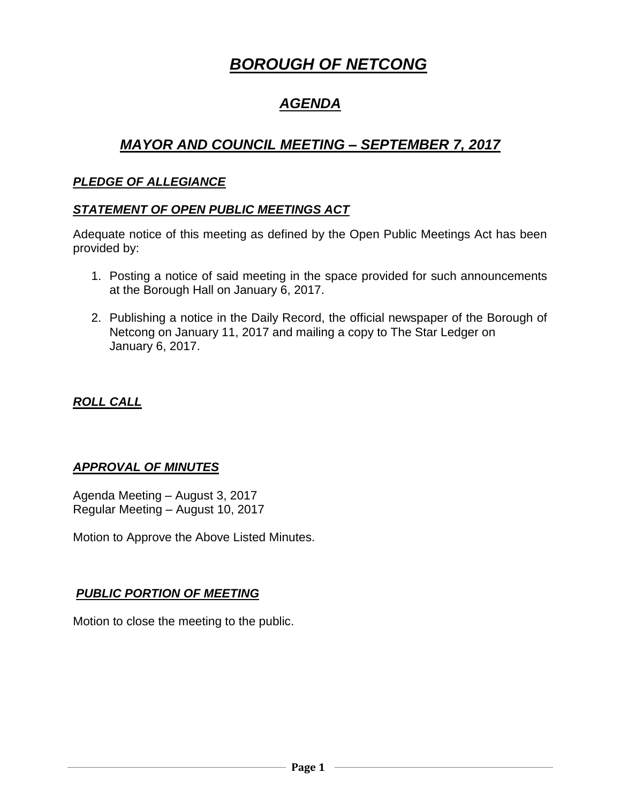# *BOROUGH OF NETCONG*

## *AGENDA*

## *MAYOR AND COUNCIL MEETING – SEPTEMBER 7, 2017*

## *PLEDGE OF ALLEGIANCE*

## *STATEMENT OF OPEN PUBLIC MEETINGS ACT*

Adequate notice of this meeting as defined by the Open Public Meetings Act has been provided by:

- 1. Posting a notice of said meeting in the space provided for such announcements at the Borough Hall on January 6, 2017.
- 2. Publishing a notice in the Daily Record, the official newspaper of the Borough of Netcong on January 11, 2017 and mailing a copy to The Star Ledger on January 6, 2017.

## *ROLL CALL*

## *APPROVAL OF MINUTES*

Agenda Meeting – August 3, 2017 Regular Meeting – August 10, 2017

Motion to Approve the Above Listed Minutes.

## *PUBLIC PORTION OF MEETING*

Motion to close the meeting to the public.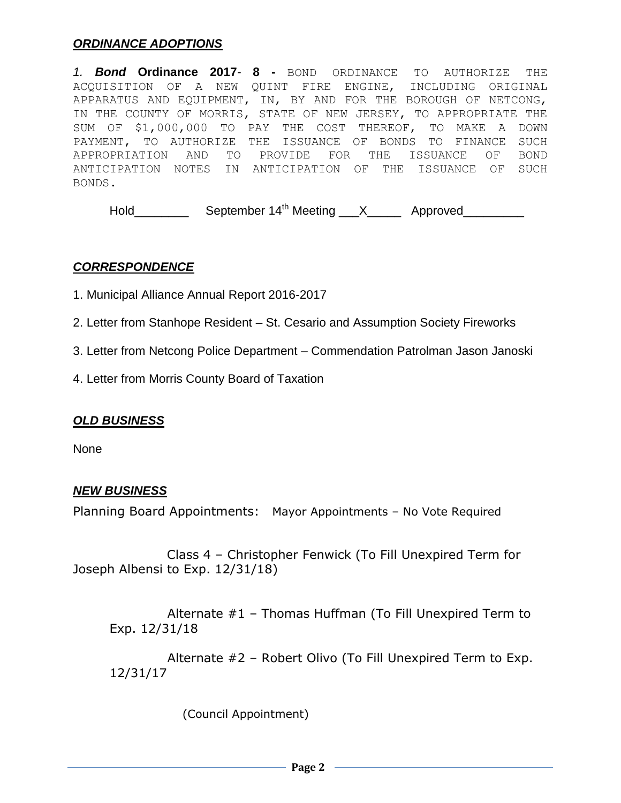#### *ORDINANCE ADOPTIONS*

*1. Bond* **Ordinance 2017***-* **8 -** BOND ORDINANCE TO AUTHORIZE THE ACQUISITION OF A NEW QUINT FIRE ENGINE, INCLUDING ORIGINAL APPARATUS AND EQUIPMENT, IN, BY AND FOR THE BOROUGH OF NETCONG, IN THE COUNTY OF MORRIS, STATE OF NEW JERSEY, TO APPROPRIATE THE SUM OF \$1,000,000 TO PAY THE COST THEREOF, TO MAKE A DOWN PAYMENT, TO AUTHORIZE THE ISSUANCE OF BONDS TO FINANCE SUCH APPROPRIATION AND TO PROVIDE FOR THE ISSUANCE OF BOND ANTICIPATION NOTES IN ANTICIPATION OF THE ISSUANCE OF SUCH BONDS.

Hold\_\_\_\_\_\_\_\_\_\_\_ September 14<sup>th</sup> Meeting \_\_\_X\_\_\_\_\_\_ Approved\_\_\_\_\_\_\_\_\_

#### *CORRESPONDENCE*

1. Municipal Alliance Annual Report 2016-2017

2. Letter from Stanhope Resident – St. Cesario and Assumption Society Fireworks

3. Letter from Netcong Police Department – Commendation Patrolman Jason Janoski

4. Letter from Morris County Board of Taxation

#### *OLD BUSINESS*

None

#### *NEW BUSINESS*

Planning Board Appointments: Mayor Appointments – No Vote Required

 Class 4 – Christopher Fenwick (To Fill Unexpired Term for Joseph Albensi to Exp. 12/31/18)

 Alternate #1 – Thomas Huffman (To Fill Unexpired Term to Exp. 12/31/18

 Alternate #2 – Robert Olivo (To Fill Unexpired Term to Exp. 12/31/17

(Council Appointment)